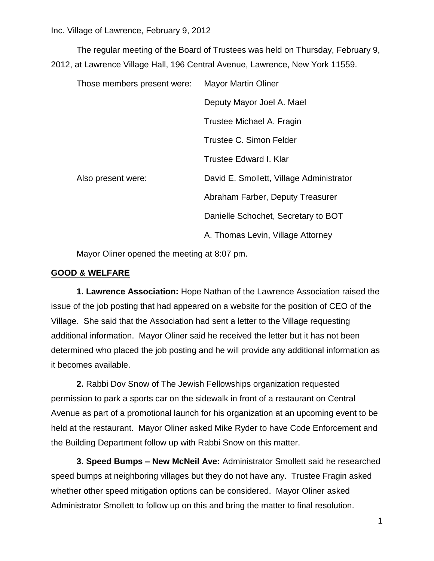The regular meeting of the Board of Trustees was held on Thursday, February 9, 2012, at Lawrence Village Hall, 196 Central Avenue, Lawrence, New York 11559.

| Those members present were: | <b>Mayor Martin Oliner</b>               |
|-----------------------------|------------------------------------------|
|                             | Deputy Mayor Joel A. Mael                |
|                             | Trustee Michael A. Fragin                |
|                             | Trustee C. Simon Felder                  |
|                             | Trustee Edward I. Klar                   |
| Also present were:          | David E. Smollett, Village Administrator |
|                             | Abraham Farber, Deputy Treasurer         |
|                             | Danielle Schochet, Secretary to BOT      |
|                             | A. Thomas Levin, Village Attorney        |

Mayor Oliner opened the meeting at 8:07 pm.

### **GOOD & WELFARE**

**1. Lawrence Association:** Hope Nathan of the Lawrence Association raised the issue of the job posting that had appeared on a website for the position of CEO of the Village. She said that the Association had sent a letter to the Village requesting additional information. Mayor Oliner said he received the letter but it has not been determined who placed the job posting and he will provide any additional information as it becomes available.

**2.** Rabbi Dov Snow of The Jewish Fellowships organization requested permission to park a sports car on the sidewalk in front of a restaurant on Central Avenue as part of a promotional launch for his organization at an upcoming event to be held at the restaurant. Mayor Oliner asked Mike Ryder to have Code Enforcement and the Building Department follow up with Rabbi Snow on this matter.

**3. Speed Bumps – New McNeil Ave:** Administrator Smollett said he researched speed bumps at neighboring villages but they do not have any. Trustee Fragin asked whether other speed mitigation options can be considered. Mayor Oliner asked Administrator Smollett to follow up on this and bring the matter to final resolution.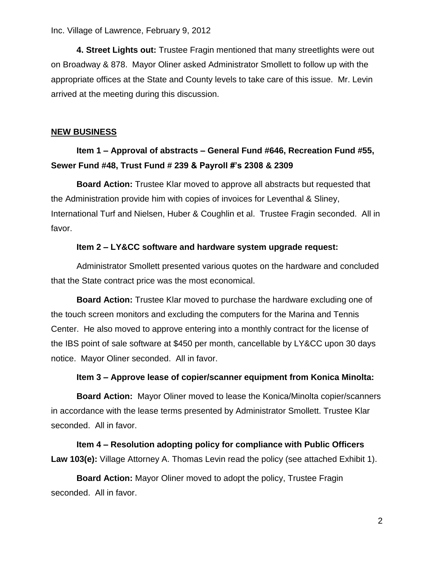**4. Street Lights out:** Trustee Fragin mentioned that many streetlights were out on Broadway & 878. Mayor Oliner asked Administrator Smollett to follow up with the appropriate offices at the State and County levels to take care of this issue. Mr. Levin arrived at the meeting during this discussion.

### **NEW BUSINESS**

# **Item 1 – Approval of abstracts – General Fund #646, Recreation Fund #55, Sewer Fund #48, Trust Fund # 239 & Payroll #'s 2308 & 2309**

**Board Action:** Trustee Klar moved to approve all abstracts but requested that the Administration provide him with copies of invoices for Leventhal & Sliney, International Turf and Nielsen, Huber & Coughlin et al. Trustee Fragin seconded. All in favor.

### **Item 2 – LY&CC software and hardware system upgrade request:**

Administrator Smollett presented various quotes on the hardware and concluded that the State contract price was the most economical.

**Board Action:** Trustee Klar moved to purchase the hardware excluding one of the touch screen monitors and excluding the computers for the Marina and Tennis Center. He also moved to approve entering into a monthly contract for the license of the IBS point of sale software at \$450 per month, cancellable by LY&CC upon 30 days notice. Mayor Oliner seconded. All in favor.

### **Item 3 – Approve lease of copier/scanner equipment from Konica Minolta:**

**Board Action:** Mayor Oliner moved to lease the Konica/Minolta copier/scanners in accordance with the lease terms presented by Administrator Smollett. Trustee Klar seconded. All in favor.

**Item 4 – Resolution adopting policy for compliance with Public Officers Law 103(e):** Village Attorney A. Thomas Levin read the policy (see attached Exhibit 1).

**Board Action:** Mayor Oliner moved to adopt the policy, Trustee Fragin seconded. All in favor.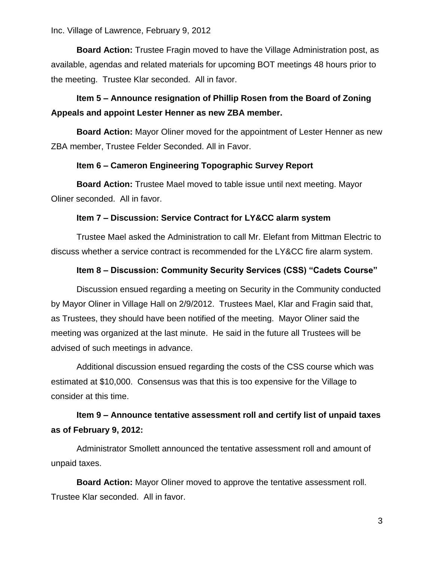**Board Action:** Trustee Fragin moved to have the Village Administration post, as available, agendas and related materials for upcoming BOT meetings 48 hours prior to the meeting. Trustee Klar seconded. All in favor.

## **Item 5 – Announce resignation of Phillip Rosen from the Board of Zoning Appeals and appoint Lester Henner as new ZBA member.**

**Board Action:** Mayor Oliner moved for the appointment of Lester Henner as new ZBA member, Trustee Felder Seconded. All in Favor.

### **Item 6 – Cameron Engineering Topographic Survey Report**

**Board Action:** Trustee Mael moved to table issue until next meeting. Mayor Oliner seconded. All in favor.

### **Item 7 – Discussion: Service Contract for LY&CC alarm system**

Trustee Mael asked the Administration to call Mr. Elefant from Mittman Electric to discuss whether a service contract is recommended for the LY&CC fire alarm system.

### **Item 8 – Discussion: Community Security Services (CSS) "Cadets Course"**

Discussion ensued regarding a meeting on Security in the Community conducted by Mayor Oliner in Village Hall on 2/9/2012. Trustees Mael, Klar and Fragin said that, as Trustees, they should have been notified of the meeting. Mayor Oliner said the meeting was organized at the last minute. He said in the future all Trustees will be advised of such meetings in advance.

Additional discussion ensued regarding the costs of the CSS course which was estimated at \$10,000. Consensus was that this is too expensive for the Village to consider at this time.

# **Item 9 – Announce tentative assessment roll and certify list of unpaid taxes as of February 9, 2012:**

Administrator Smollett announced the tentative assessment roll and amount of unpaid taxes.

**Board Action:** Mayor Oliner moved to approve the tentative assessment roll. Trustee Klar seconded. All in favor.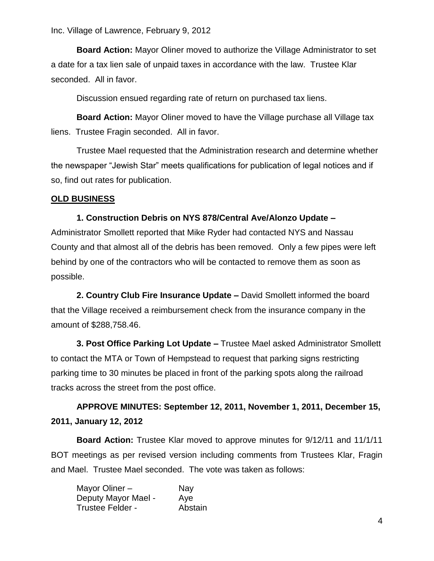**Board Action:** Mayor Oliner moved to authorize the Village Administrator to set a date for a tax lien sale of unpaid taxes in accordance with the law. Trustee Klar seconded. All in favor.

Discussion ensued regarding rate of return on purchased tax liens.

**Board Action:** Mayor Oliner moved to have the Village purchase all Village tax liens. Trustee Fragin seconded. All in favor.

Trustee Mael requested that the Administration research and determine whether the newspaper "Jewish Star" meets qualifications for publication of legal notices and if so, find out rates for publication.

### **OLD BUSINESS**

### **1. Construction Debris on NYS 878/Central Ave/Alonzo Update –**

Administrator Smollett reported that Mike Ryder had contacted NYS and Nassau County and that almost all of the debris has been removed. Only a few pipes were left behind by one of the contractors who will be contacted to remove them as soon as possible.

**2. Country Club Fire Insurance Update –** David Smollett informed the board that the Village received a reimbursement check from the insurance company in the amount of \$288,758.46.

**3. Post Office Parking Lot Update –** Trustee Mael asked Administrator Smollett to contact the MTA or Town of Hempstead to request that parking signs restricting parking time to 30 minutes be placed in front of the parking spots along the railroad tracks across the street from the post office.

# **APPROVE MINUTES: September 12, 2011, November 1, 2011, December 15, 2011, January 12, 2012**

**Board Action:** Trustee Klar moved to approve minutes for 9/12/11 and 11/1/11 BOT meetings as per revised version including comments from Trustees Klar, Fragin and Mael. Trustee Mael seconded. The vote was taken as follows:

| Mayor Oliner -      | Nay     |
|---------------------|---------|
| Deputy Mayor Mael - | Aye     |
| Trustee Felder -    | Abstain |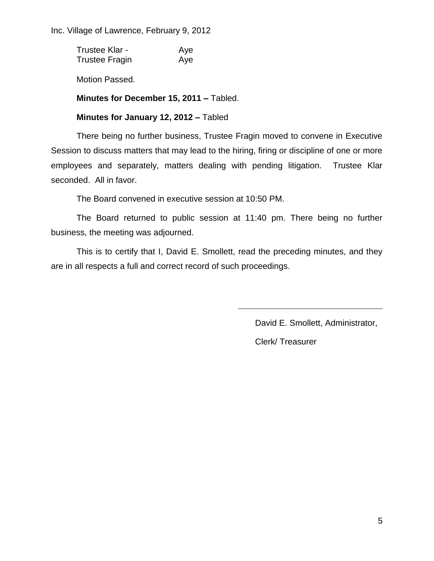Trustee Klar - Aye Trustee Fragin Aye

Motion Passed.

**Minutes for December 15, 2011 –** Tabled.

### **Minutes for January 12, 2012 –** Tabled

There being no further business, Trustee Fragin moved to convene in Executive Session to discuss matters that may lead to the hiring, firing or discipline of one or more employees and separately, matters dealing with pending litigation. Trustee Klar seconded. All in favor.

The Board convened in executive session at 10:50 PM.

The Board returned to public session at 11:40 pm. There being no further business, the meeting was adjourned.

This is to certify that I, David E. Smollett, read the preceding minutes, and they are in all respects a full and correct record of such proceedings.

David E. Smollett, Administrator,

Clerk/ Treasurer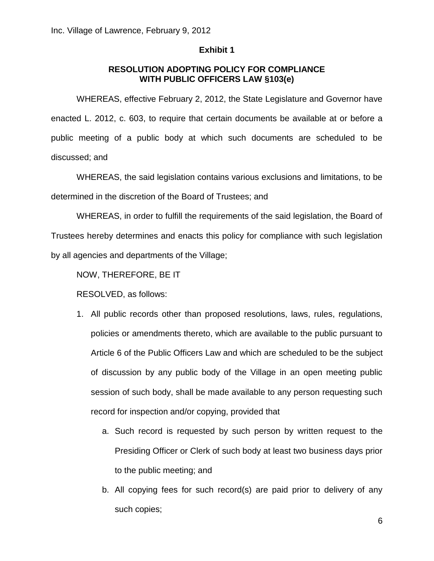#### **Exhibit 1**

### **RESOLUTION ADOPTING POLICY FOR COMPLIANCE WITH PUBLIC OFFICERS LAW §103(e)**

WHEREAS, effective February 2, 2012, the State Legislature and Governor have enacted L. 2012, c. 603, to require that certain documents be available at or before a public meeting of a public body at which such documents are scheduled to be discussed; and

WHEREAS, the said legislation contains various exclusions and limitations, to be determined in the discretion of the Board of Trustees; and

WHEREAS, in order to fulfill the requirements of the said legislation, the Board of Trustees hereby determines and enacts this policy for compliance with such legislation by all agencies and departments of the Village;

NOW, THEREFORE, BE IT

RESOLVED, as follows:

- 1. All public records other than proposed resolutions, laws, rules, regulations, policies or amendments thereto, which are available to the public pursuant to Article 6 of the Public Officers Law and which are scheduled to be the subject of discussion by any public body of the Village in an open meeting public session of such body, shall be made available to any person requesting such record for inspection and/or copying, provided that
	- a. Such record is requested by such person by written request to the Presiding Officer or Clerk of such body at least two business days prior to the public meeting; and
	- b. All copying fees for such record(s) are paid prior to delivery of any such copies;

6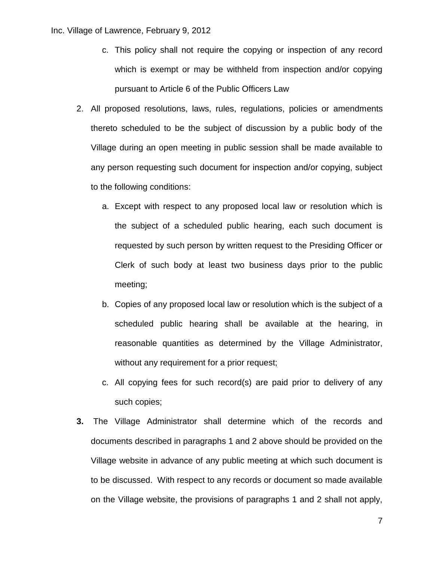- c. This policy shall not require the copying or inspection of any record which is exempt or may be withheld from inspection and/or copying pursuant to Article 6 of the Public Officers Law
- 2. All proposed resolutions, laws, rules, regulations, policies or amendments thereto scheduled to be the subject of discussion by a public body of the Village during an open meeting in public session shall be made available to any person requesting such document for inspection and/or copying, subject to the following conditions:
	- a. Except with respect to any proposed local law or resolution which is the subject of a scheduled public hearing, each such document is requested by such person by written request to the Presiding Officer or Clerk of such body at least two business days prior to the public meeting;
	- b. Copies of any proposed local law or resolution which is the subject of a scheduled public hearing shall be available at the hearing, in reasonable quantities as determined by the Village Administrator, without any requirement for a prior request;
	- c. All copying fees for such record(s) are paid prior to delivery of any such copies;
- **3.** The Village Administrator shall determine which of the records and documents described in paragraphs 1 and 2 above should be provided on the Village website in advance of any public meeting at which such document is to be discussed. With respect to any records or document so made available on the Village website, the provisions of paragraphs 1 and 2 shall not apply,